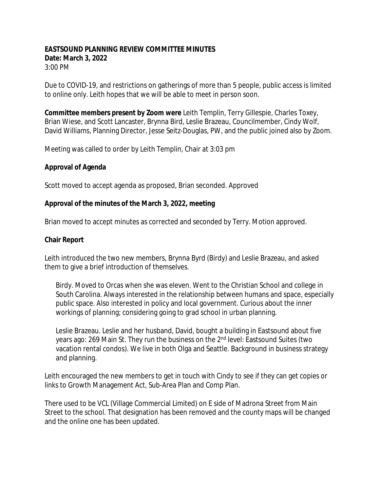#### **EASTSOUND PLANNING REVIEW COMMITTEE MINUTES Date: March 3, 2022** 3:00 PM

Due to COVID-19, and restrictions on gatherings of more than 5 people, public access is limited to online only. Leith hopes that we will be able to meet in person soon.

**Committee members present by Zoom were** Leith Templin, Terry Gillespie, Charles Toxey, Brian Wiese, and Scott Lancaster, Brynna Bird, Leslie Brazeau, Councilmember, Cindy Wolf, David Williams, Planning Director, Jesse Seitz-Douglas, PW, and the public joined also by Zoom.

Meeting was called to order by Leith Templin, Chair at 3:03 pm

#### **Approval of Agenda**

Scott moved to accept agenda as proposed, Brian seconded. Approved

#### **Approval of the minutes of the March 3, 2022, meeting**

Brian moved to accept minutes as corrected and seconded by Terry. Motion approved.

#### **Chair Report**

Leith introduced the two new members, Brynna Byrd (Birdy) and Leslie Brazeau, and asked them to give a brief introduction of themselves.

Birdy. Moved to Orcas when she was eleven. Went to the Christian School and college in South Carolina. Always interested in the relationship between humans and space, especially public space. Also interested in policy and local government. Curious about the inner workings of planning; considering going to grad school in urban planning.

Leslie Brazeau. Leslie and her husband, David, bought a building in Eastsound about five years ago: 269 Main St. They run the business on the 2<sup>nd</sup> level: Eastsound Suites (two vacation rental condos). We live in both Olga and Seattle. Background in business strategy and planning.

Leith encouraged the new members to get in touch with Cindy to see if they can get copies or links to Growth Management Act, Sub-Area Plan and Comp Plan.

There used to be VCL (Village Commercial Limited) on E side of Madrona Street from Main Street to the school. That designation has been removed and the county maps will be changed and the online one has been updated.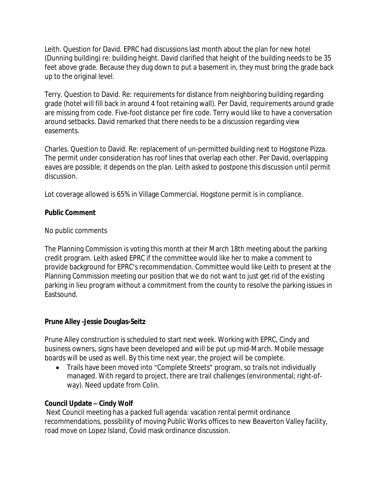Leith. Question for David. EPRC had discussions last month about the plan for new hotel (Dunning building) re: building height. David clarified that height of the building needs to be 35 feet above grade. Because they dug down to put a basement in, they must bring the grade back up to the original level.

Terry. Question to David. Re: requirements for distance from neighboring building regarding grade (hotel will fill back in around 4 foot retaining wall). Per David, requirements around grade are missing from code. Five-foot distance per fire code. Terry would like to have a conversation around setbacks. David remarked that there needs to be a discussion regarding view easements.

Charles. Question to David. Re: replacement of un-permitted building next to Hogstone Pizza. The permit under consideration has roof lines that overlap each other. Per David, overlapping eaves are possible; it depends on the plan. Leith asked to postpone this discussion until permit discussion.

Lot coverage allowed is 65% in Village Commercial. Hogstone permit is in compliance.

### **Public Comment**

#### No public comments

The Planning Commission is voting this month at their March 18th meeting about the parking credit program. Leith asked EPRC if the committee would like her to make a comment to provide background for EPRC's recommendation. Committee would like Leith to present at the Planning Commission meeting our position that we do not want to just get rid of the existing parking in lieu program without a commitment from the county to resolve the parking issues in Eastsound.

### **Prune Alley -Jessie Douglas-Seitz**

Prune Alley construction is scheduled to start next week. Working with EPRC, Cindy and business owners, signs have been developed and will be put up mid-March. Mobile message boards will be used as well. By this time next year, the project will be complete.

• Trails have been moved into "Complete Streets" program, so trails not individually managed. With regard to project, there are trail challenges (environmental; right-ofway). Need update from Colin.

### **Council Update – Cindy Wolf**

 Next Council meeting has a packed full agenda: vacation rental permit ordinance recommendations, possibility of moving Public Works offices to new Beaverton Valley facility, road move on Lopez Island, Covid mask ordinance discussion.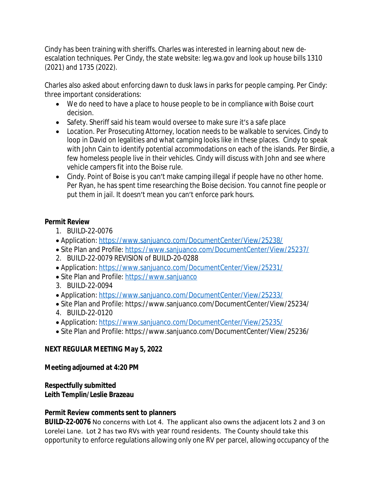Cindy has been training with sheriffs. Charles was interested in learning about new deescalation techniques. Per Cindy, the state website: leg.wa.gov and look up house bills 1310 (2021) and 1735 (2022).

Charles also asked about enforcing dawn to dusk laws in parks for people camping. Per Cindy: three important considerations:

- · We do need to have a place to house people to be in compliance with Boise court decision.
- Safety. Sheriff said his team would oversee to make sure it's a safe place
- · Location. Per Prosecuting Attorney, location needs to be walkable to services. Cindy to loop in David on legalities and what camping looks like in these places. Cindy to speak with John Cain to identify potential accommodations on each of the islands. Per Birdie, a few homeless people live in their vehicles. Cindy will discuss with John and see where vehicle campers fit into the Boise rule.
- Cindy. Point of Boise is you can't make camping illegal if people have no other home. Per Ryan, he has spent time researching the Boise decision. You cannot fine people or put them in jail. It doesn't mean you can't enforce park hours.

## **Permit Review**

- 1. BUILD-22-0076
- Application:<https://www.sanjuanco.com/DocumentCenter/View/25238/>
- Site Plan and Profile: <https://www.sanjuanco.com/DocumentCenter/View/25237/>
- 2. BUILD-22-0079 REVISION of BUILD-20-0288
- · Application:<https://www.sanjuanco.com/DocumentCenter/View/25231/>
- Site Plan and Profile: <https://www.sanjuanco>
- 3. BUILD-22-0094
- Application:<https://www.sanjuanco.com/DocumentCenter/View/25233/>
- · Site Plan and Profile: https://www.sanjuanco.com/DocumentCenter/View/25234/
- 4. BUILD-22-0120
- Application:<https://www.sanjuanco.com/DocumentCenter/View/25235/>
- · Site Plan and Profile: https://www.sanjuanco.com/DocumentCenter/View/25236/

# **NEXT REGULAR MEETING May 5, 2022**

## **Meeting adjourned at 4:20 PM**

### **Respectfully submitted Leith Templin/Leslie Brazeau**

# **Permit Review comments sent to planners**

**BUILD-22-0076** No concerns with Lot 4. The applicant also owns the adjacent lots 2 and 3 on Lorelei Lane. Lot 2 has two RVs with year round residents. The County should take this opportunity to enforce regulations allowing only one RV per parcel, allowing occupancy of the